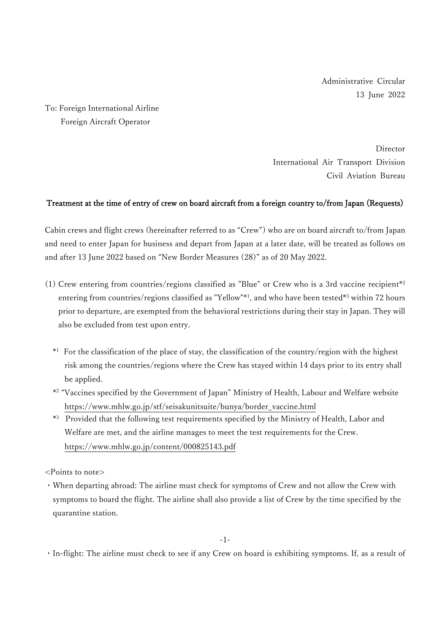Administrative Circular 13 June 2022

To: Foreign International Airline Foreign Aircraft Operator

> Director International Air Transport Division Civil Aviation Bureau

## Treatment at the time of entry of crew on board aircraft from a foreign country to/from Japan (Requests)

Cabin crews and flight crews (hereinafter referred to as "Crew") who are on board aircraft to/from Japan and need to enter Japan for business and depart from Japan at a later date, will be treated as follows on and after 13 June 2022 based on "New Border Measures (28)" as of 20 May 2022.

- (1) Crew entering from countries/regions classified as "Blue" or Crew who is a 3rd vaccine recipient\* 2 entering from countries/regions classified as "Yellow"\* 1 , and who have been tested\* <sup>3</sup> within 72 hours prior to departure, are exempted from the behavioral restrictions during their stay in Japan. They will also be excluded from test upon entry.
	- \* <sup>1</sup> For the classification of the place of stay, the classification of the country/region with the highest risk among the countries/regions where the Crew has stayed within 14 days prior to its entry shall be applied.
	- \* 2 "Vaccines specified by the Government of Japan" Ministry of Health, Labour and Welfare website https://www.mhlw.go.jp/stf/seisakunitsuite/bunya/border\_vaccine.html
	- \* <sup>3</sup> Provided that the following test requirements specified by the Ministry of Health, Labor and Welfare are met, and the airline manages to meet the test requirements for the Crew. https://www.mhlw.go.jp/content/000825143.pdf

<Points to note>

・When departing abroad: The airline must check for symptoms of Crew and not allow the Crew with symptoms to board the flight. The airline shall also provide a list of Crew by the time specified by the quarantine station.

・In-flight: The airline must check to see if any Crew on board is exhibiting symptoms. If, as a result of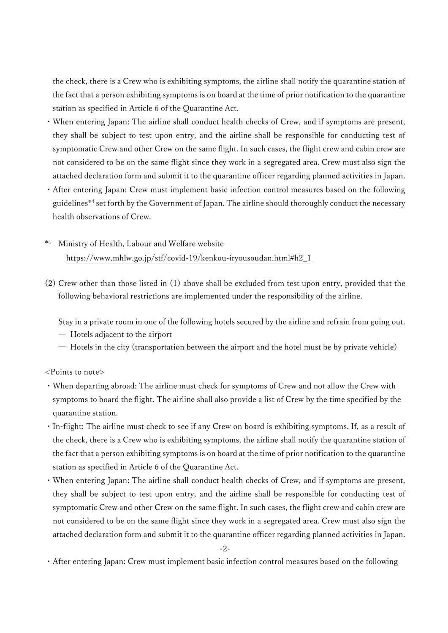the check, there is a Crew who is exhibiting symptoms, the airline shall notify the quarantine station of the fact that a person exhibiting symptoms is on board at the time of prior notification to the quarantine station as specified in Article 6 of the Quarantine Act.

- ・When entering Japan: The airline shall conduct health checks of Crew, and if symptoms are present, they shall be subject to test upon entry, and the airline shall be responsible for conducting test of symptomatic Crew and other Crew on the same flight. In such cases, the flight crew and cabin crew are not considered to be on the same flight since they work in a segregated area. Crew must also sign the attached declaration form and submit it to the quarantine officer regarding planned activities in Japan.
- ・After entering Japan: Crew must implement basic infection control measures based on the following guidelines\* 4 set forth by the Government of Japan. The airline should thoroughly conduct the necessary health observations of Crew.
- \* Ministry of Health, Labour and Welfare website https://www.mhlw.go.jp/stf/covid-19/kenkou-iryousoudan.html#h2\_1
- (2) Crew other than those listed in (1) above shall be excluded from test upon entry, provided that the following behavioral restrictions are implemented under the responsibility of the airline.

Stay in a private room in one of the following hotels secured by the airline and refrain from going out.

- ― Hotels adjacent to the airport
- ― Hotels in the city (transportation between the airport and the hotel must be by private vehicle)

<Points to note>

- ・When departing abroad: The airline must check for symptoms of Crew and not allow the Crew with symptoms to board the flight. The airline shall also provide a list of Crew by the time specified by the quarantine station.
- ・In-flight: The airline must check to see if any Crew on board is exhibiting symptoms. If, as a result of the check, there is a Crew who is exhibiting symptoms, the airline shall notify the quarantine station of the fact that a person exhibiting symptoms is on board at the time of prior notification to the quarantine station as specified in Article 6 of the Quarantine Act.
- ・When entering Japan: The airline shall conduct health checks of Crew, and if symptoms are present, they shall be subject to test upon entry, and the airline shall be responsible for conducting test of symptomatic Crew and other Crew on the same flight. In such cases, the flight crew and cabin crew are not considered to be on the same flight since they work in a segregated area. Crew must also sign the attached declaration form and submit it to the quarantine officer regarding planned activities in Japan.

-2-

・After entering Japan: Crew must implement basic infection control measures based on the following